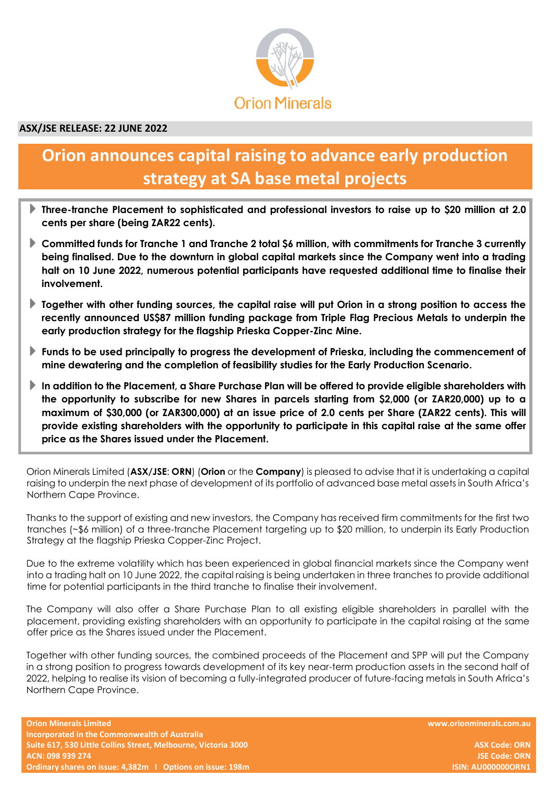

# **ASX/JSE RELEASE: 22 JUNE 2022**

# **Orion announces capital raising to advance early production strategy at SA base metal projects**

- **Three-tranche Placement to sophisticated and professional investors to raise up to \$20 million at 2.0 cents per share (being ZAR22 cents).**
- **Committed funds for Tranche 1 and Tranche 2 total \$6 million, with commitments for Tranche 3 currently being finalised. Due to the downturn in global capital markets since the Company went into a trading halt on 10 June 2022, numerous potential participants have requested additional time to finalise their involvement.**
- **Together with other funding sources, the capital raise will put Orion in a strong position to access the recently announced US\$87 million funding package from Triple Flag Precious Metals to underpin the early production strategy for the flagship Prieska Copper-Zinc Mine.**
- **Funds to be used principally to progress the development of Prieska, including the commencement of mine dewatering and the completion of feasibility studies for the Early Production Scenario.**
- **In addition to the Placement, a Share Purchase Plan will be offered to provide eligible shareholders with the opportunity to subscribe for new Shares in parcels starting from \$2,000 (or ZAR20,000) up to a maximum of \$30,000 (or ZAR300,000) at an issue price of 2.0 cents per Share (ZAR22 cents). This will provide existing shareholders with the opportunity to participate in this capital raise at the same offer price as the Shares issued under the Placement.**

Orion Minerals Limited (**ASX/JSE**: **ORN**) (**Orion** or the **Company**) is pleased to advise that it is undertaking a capital raising to underpin the next phase of development of its portfolio of advanced base metal assets in South Africa's Northern Cape Province.

Thanks to the support of existing and new investors, the Company has received firm commitments for the first two tranches (~\$6 million) of a three-tranche Placement targeting up to \$20 million, to underpin its Early Production Strategy at the flagship Prieska Copper-Zinc Project.

Due to the extreme volatility which has been experienced in global financial markets since the Company went into a trading halt on 10 June 2022, the capital raising is being undertaken in three tranches to provide additional time for potential participants in the third tranche to finalise their involvement.

The Company will also offer a Share Purchase Plan to all existing eligible shareholders in parallel with the placement, providing existing shareholders with an opportunity to participate in the capital raising at the same offer price as the Shares issued under the Placement.

Together with other funding sources, the combined proceeds of the Placement and SPP will put the Company in a strong position to progress towards development of its key near-term production assets in the second half of 2022, helping to realise its vision of becoming a fully-integrated producer of future-facing metals in South Africa's Northern Cape Province.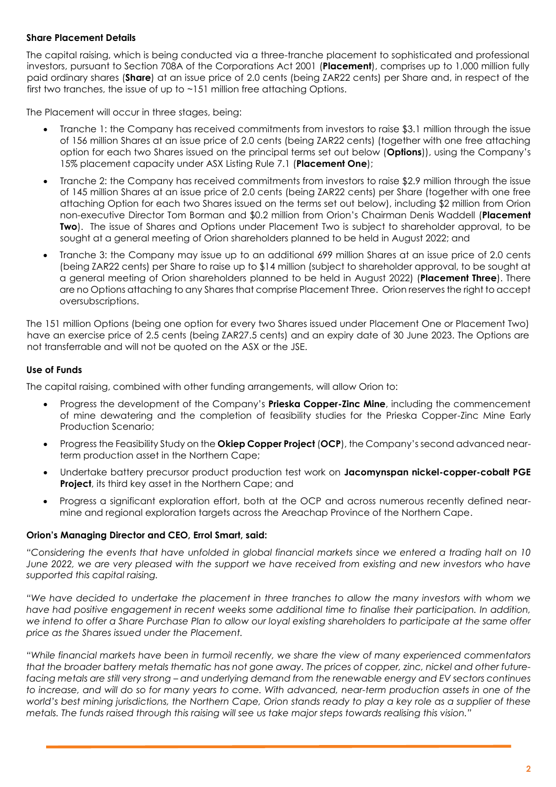### **Share Placement Details**

The capital raising, which is being conducted via a three-tranche placement to sophisticated and professional investors, pursuant to Section 708A of the Corporations Act 2001 (**Placement**), comprises up to 1,000 million fully paid ordinary shares (**Share**) at an issue price of 2.0 cents (being ZAR22 cents) per Share and, in respect of the first two tranches, the issue of up to ~151 million free attaching Options.

The Placement will occur in three stages, being:

- Tranche 1: the Company has received commitments from investors to raise \$3.1 million through the issue of 156 million Shares at an issue price of 2.0 cents (being ZAR22 cents) (together with one free attaching option for each two Shares issued on the principal terms set out below (**Options**)), using the Company's 15% placement capacity under ASX Listing Rule 7.1 (**Placement One**);
- Tranche 2: the Company has received commitments from investors to raise \$2.9 million through the issue of 145 million Shares at an issue price of 2.0 cents (being ZAR22 cents) per Share (together with one free attaching Option for each two Shares issued on the terms set out below), including \$2 million from Orion non-executive Director Tom Borman and \$0.2 million from Orion's Chairman Denis Waddell (**Placement Two**). The issue of Shares and Options under Placement Two is subject to shareholder approval, to be sought at a general meeting of Orion shareholders planned to be held in August 2022; and
- Tranche 3: the Company may issue up to an additional 699 million Shares at an issue price of 2.0 cents (being ZAR22 cents) per Share to raise up to \$14 million (subject to shareholder approval, to be sought at a general meeting of Orion shareholders planned to be held in August 2022) (**Placement Three**). There are no Options attaching to any Shares that comprise Placement Three. Orion reserves the right to accept oversubscriptions.

The 151 million Options (being one option for every two Shares issued under Placement One or Placement Two) have an exercise price of 2.5 cents (being ZAR27.5 cents) and an expiry date of 30 June 2023. The Options are not transferrable and will not be quoted on the ASX or the JSE.

#### **Use of Funds**

The capital raising, combined with other funding arrangements, will allow Orion to:

- Progress the development of the Company's **Prieska Copper-Zinc Mine**, including the commencement of mine dewatering and the completion of feasibility studies for the Prieska Copper-Zinc Mine Early Production Scenario;
- Progress the Feasibility Study on the **Okiep Copper Project** (**OCP**), the Company's second advanced nearterm production asset in the Northern Cape;
- Undertake battery precursor product production test work on **Jacomynspan nickel-copper-cobalt PGE Project**, its third key asset in the Northern Cape; and
- Progress a significant exploration effort, both at the OCP and across numerous recently defined nearmine and regional exploration targets across the Areachap Province of the Northern Cape.

#### **Orion's Managing Director and CEO, Errol Smart, said:**

"Considering the events that have unfolded in global financial markets since we entered a trading halt on 10 June 2022, we are very pleased with the support we have received from existing and new investors who have *supported this capital raising.*

"We have decided to undertake the placement in three tranches to allow the many investors with whom we *have had positive engagement in recent weeks some additional time to finalise their participation. In addition,* we intend to offer a Share Purchase Plan to allow our loyal existing shareholders to participate at the same offer *price as the Shares issued under the Placement.*

*"While financial markets have been in turmoil recently, we share the view of many experienced commentators* that the broader battery metals thematic has not gone away. The prices of copper, zinc, nickel and other futurefacing metals are still very strong - and underlying demand from the renewable energy and EV sectors continues to increase, and will do so for many years to come. With advanced, near-term production assets in one of the world's best mining jurisdictions, the Northern Cape, Orion stands ready to play a key role as a supplier of these metals. The funds raised through this raising will see us take major steps towards realising this vision."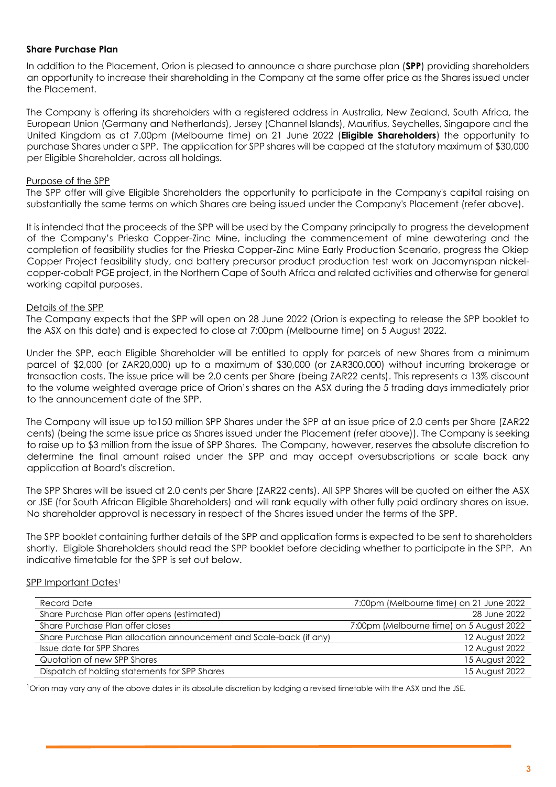#### **Share Purchase Plan**

In addition to the Placement, Orion is pleased to announce a share purchase plan (**SPP**) providing shareholders an opportunity to increase their shareholding in the Company at the same offer price as the Shares issued under the Placement.

The Company is offering its shareholders with a registered address in Australia, New Zealand, South Africa, the European Union (Germany and Netherlands), Jersey (Channel Islands), Mauritius, Seychelles, Singapore and the United Kingdom as at 7.00pm (Melbourne time) on 21 June 2022 (**Eligible Shareholders**) the opportunity to purchase Shares under a SPP. The application for SPP shares will be capped at the statutory maximum of \$30,000 per Eligible Shareholder, across all holdings.

### Purpose of the SPP

The SPP offer will give Eligible Shareholders the opportunity to participate in the Company's capital raising on substantially the same terms on which Shares are being issued under the Company's Placement (refer above).

It is intended that the proceeds of the SPP will be used by the Company principally to progress the development of the Company's Prieska Copper-Zinc Mine, including the commencement of mine dewatering and the completion of feasibility studies for the Prieska Copper-Zinc Mine Early Production Scenario, progress the Okiep Copper Project feasibility study, and battery precursor product production test work on Jacomynspan nickelcopper-cobalt PGE project, in the Northern Cape of South Africa and related activities and otherwise for general working capital purposes.

#### Details of the SPP

The Company expects that the SPP will open on 28 June 2022 (Orion is expecting to release the SPP booklet to the ASX on this date) and is expected to close at 7:00pm (Melbourne time) on 5 August 2022.

Under the SPP, each Eligible Shareholder will be entitled to apply for parcels of new Shares from a minimum parcel of \$2,000 (or ZAR20,000) up to a maximum of \$30,000 (or ZAR300,000) without incurring brokerage or transaction costs. The issue price will be 2.0 cents per Share (being ZAR22 cents). This represents a 13% discount to the volume weighted average price of Orion's shares on the ASX during the 5 trading days immediately prior to the announcement date of the SPP.

The Company will issue up to150 million SPP Shares under the SPP at an issue price of 2.0 cents per Share (ZAR22 cents) (being the same issue price as Shares issued under the Placement (refer above)). The Company is seeking to raise up to \$3 million from the issue of SPP Shares. The Company, however, reserves the absolute discretion to determine the final amount raised under the SPP and may accept oversubscriptions or scale back any application at Board's discretion.

The SPP Shares will be issued at 2.0 cents per Share (ZAR22 cents). All SPP Shares will be quoted on either the ASX or JSE (for South African Eligible Shareholders) and will rank equally with other fully paid ordinary shares on issue. No shareholder approval is necessary in respect of the Shares issued under the terms of the SPP.

The SPP booklet containing further details of the SPP and application forms is expected to be sent to shareholders shortly. Eligible Shareholders should read the SPP booklet before deciding whether to participate in the SPP. An indicative timetable for the SPP is set out below.

#### SPP Important Dates<sup>1</sup>

| Record Date                                                         | 7:00pm (Melbourne time) on 21 June 2022  |
|---------------------------------------------------------------------|------------------------------------------|
| Share Purchase Plan offer opens (estimated)                         | 28 June 2022                             |
| Share Purchase Plan offer closes                                    | 7:00pm (Melbourne time) on 5 August 2022 |
| Share Purchase Plan allocation announcement and Scale-back (if any) | 12 August 2022                           |
| Issue date for SPP Shares                                           | 12 August 2022                           |
| Quotation of new SPP Shares                                         | 15 August 2022                           |
| Dispatch of holding statements for SPP Shares                       | 15 August 2022                           |

<sup>1</sup>Orion may vary any of the above dates in its absolute discretion by lodging a revised timetable with the ASX and the JSE.